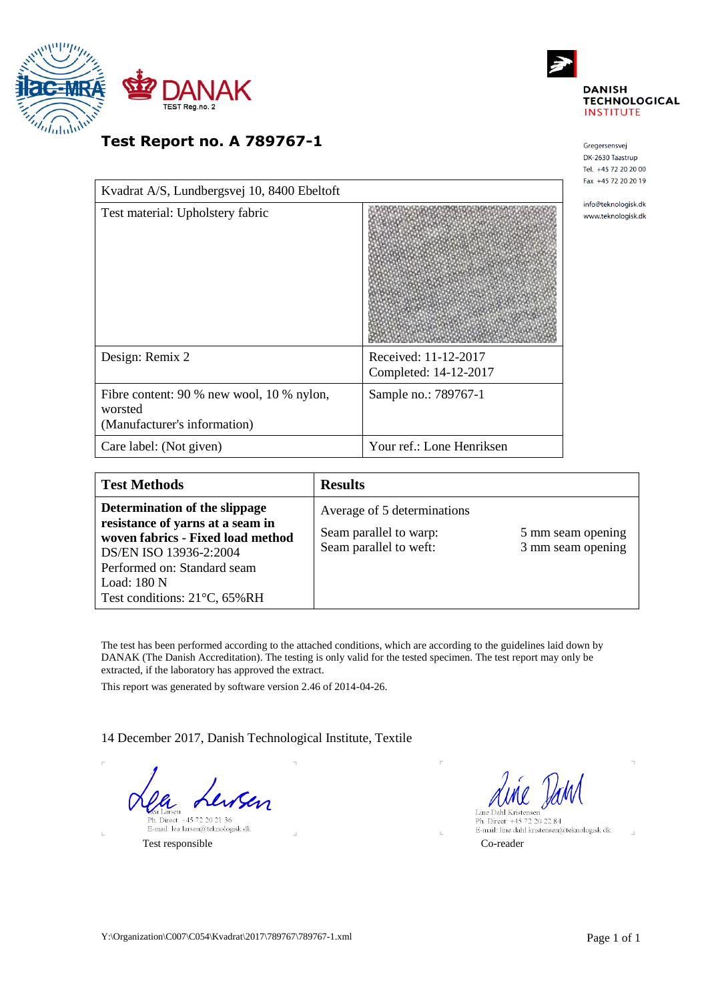



Gregersensvej DK-2630 Taastrup Tel. +45 72 20 20 00 Fax +45 72 20 20 19 info@teknologisk.dk www.teknologisk.dk

**Test Report no. A 789767-1**

| Kvadrat A/S, Lundbergsvej 10, 8400 Ebeltoft                                          |                                               |
|--------------------------------------------------------------------------------------|-----------------------------------------------|
| Test material: Upholstery fabric                                                     |                                               |
| Design: Remix 2                                                                      | Received: 11-12-2017<br>Completed: 14-12-2017 |
| Fibre content: 90 % new wool, 10 % nylon,<br>worsted<br>(Manufacturer's information) | Sample no.: 789767-1                          |
| Care label: (Not given)                                                              | Your ref.: Lone Henriksen                     |

| <b>Test Methods</b>                                                                                                                                                                                            | <b>Results</b>                                                                  |                                        |
|----------------------------------------------------------------------------------------------------------------------------------------------------------------------------------------------------------------|---------------------------------------------------------------------------------|----------------------------------------|
| Determination of the slippage<br>resistance of yarns at a seam in<br>woven fabrics - Fixed load method<br>DS/EN ISO 13936-2:2004<br>Performed on: Standard seam<br>Load: 180 N<br>Test conditions: 21°C, 65%RH | Average of 5 determinations<br>Seam parallel to warp:<br>Seam parallel to weft: | 5 mm seam opening<br>3 mm seam opening |

The test has been performed according to the attached conditions, which are according to the guidelines laid down by DANAK (The Danish Accreditation). The testing is only valid for the tested specimen. The test report may only be extracted, if the laboratory has approved the extract.

This report was generated by software version 2.46 of 2014-04-26.

14 December 2017, Danish Technological Institute, Textile

Eea Larsen<br>Ph. Direct: +45 72 20 21 36<br>E-mail: lea.larsen@teknologisk.dk

Test responsible Co-reader

Line Dahl Kristenser Ph. Direct: +45 72 20 22 84<br>E-mail: line.dahl.kristensen@teknologisk.dk

 $\pm$